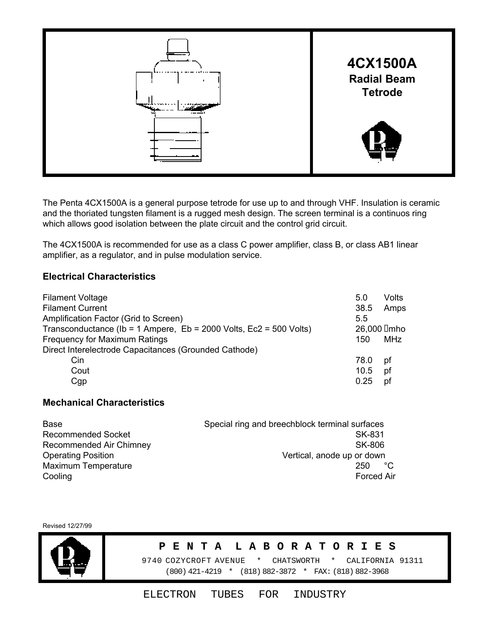

The Penta 4CX1500A is a general purpose tetrode for use up to and through VHF. Insulation is ceramic and the thoriated tungsten filament is a rugged mesh design. The screen terminal is a continuos ring which allows good isolation between the plate circuit and the control grid circuit.

The 4CX1500A is recommended for use as a class C power amplifier, class B, or class AB1 linear amplifier, as a regulator, and in pulse modulation service.

# **Electrical Characteristics**

| <b>Filament Voltage</b><br><b>Filament Current</b><br>Amplification Factor (Grid to Screen) | 5.0<br>38.5<br>5.5 | Volts<br>Amps |
|---------------------------------------------------------------------------------------------|--------------------|---------------|
| Transconductance (Ib = 1 Ampere, $Eb = 2000$ Volts, $Ec2 = 500$ Volts)                      | 26,000 Imho        |               |
| <b>Frequency for Maximum Ratings</b>                                                        | 150                | MHz           |
| Direct Interelectrode Capacitances (Grounded Cathode)                                       |                    |               |
| Cin.                                                                                        | 78.0               | рf            |
| Cout                                                                                        | 10.5               | pf            |
| Cgp                                                                                         | 0.25               | рt            |

### **Mechanical Characteristics**

| Base                       | Special ring and breechblock terminal surfaces |
|----------------------------|------------------------------------------------|
| <b>Recommended Socket</b>  | SK-831                                         |
| Recommended Air Chimney    | SK-806                                         |
| <b>Operating Position</b>  | Vertical, anode up or down                     |
| <b>Maximum Temperature</b> | $^{\circ}$ C<br>250                            |
| Cooling                    | <b>Forced Air</b>                              |

Revised 12/27/99



#### **P E N T A L A B O R A T O R I E S**

 9740 COZYCROFT AVENUE \* CHATSWORTH \* CALIFORNIA 91311 (800) 421-4219 \* (818) 882-3872 \* FAX: (818) 882-3968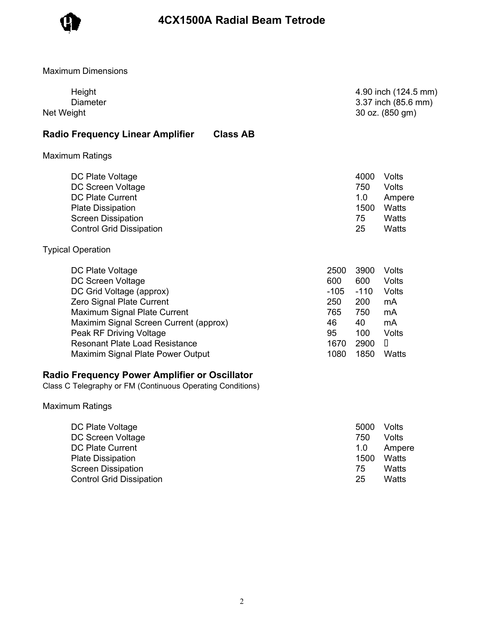

Maximum Dimensions

| Height<br><b>Diameter</b><br>Net Weight                                                                                                                                                                                                                                           |                                                                 | 4.90 inch (124.5 mm)<br>3.37 inch (85.6 mm)<br>30 oz. (850 gm)   |                                                                                |
|-----------------------------------------------------------------------------------------------------------------------------------------------------------------------------------------------------------------------------------------------------------------------------------|-----------------------------------------------------------------|------------------------------------------------------------------|--------------------------------------------------------------------------------|
| <b>Radio Frequency Linear Amplifier</b><br><b>Class AB</b>                                                                                                                                                                                                                        |                                                                 |                                                                  |                                                                                |
| <b>Maximum Ratings</b>                                                                                                                                                                                                                                                            |                                                                 |                                                                  |                                                                                |
| DC Plate Voltage<br>DC Screen Voltage<br><b>DC Plate Current</b><br><b>Plate Dissipation</b><br><b>Screen Dissipation</b><br><b>Control Grid Dissipation</b>                                                                                                                      |                                                                 | 4000<br>750<br>1.0<br>1500<br>75<br>25                           | Volts<br><b>Volts</b><br>Ampere<br>Watts<br>Watts<br><b>Watts</b>              |
| <b>Typical Operation</b>                                                                                                                                                                                                                                                          |                                                                 |                                                                  |                                                                                |
| DC Plate Voltage<br>DC Screen Voltage<br>DC Grid Voltage (approx)<br>Zero Signal Plate Current<br>Maximum Signal Plate Current<br>Maximim Signal Screen Current (approx)<br>Peak RF Driving Voltage<br><b>Resonant Plate Load Resistance</b><br>Maximim Signal Plate Power Output | 2500<br>600<br>$-105$<br>250<br>765<br>46<br>95<br>1670<br>1080 | 3900<br>600<br>$-110$<br>200<br>750<br>40<br>100<br>2900<br>1850 | Volts<br><b>Volts</b><br>Volts<br>mA<br>mA<br>mA<br><b>Volts</b><br>П<br>Watts |
| <b>Radio Frequency Power Amplifier or Oscillator</b><br>Class C Telegraphy or FM (Continuous Operating Conditions)                                                                                                                                                                |                                                                 |                                                                  |                                                                                |
| <b>Maximum Ratings</b>                                                                                                                                                                                                                                                            |                                                                 |                                                                  |                                                                                |
| DC Plate Voltage<br><b>DC Screen Voltage</b>                                                                                                                                                                                                                                      |                                                                 | 5000<br>750                                                      | Volts<br>Volts                                                                 |

DC Plate Current 2008 and 2008 and 2008 and 2008 and 2008 and 2008 and 2008 and 2008 and 2008 and 2008 and 200 Plate Dissipation **1500** Watts Screen Dissipation **National Contract of Contract Contract Contract Contract Contract Contract Contract Contract Contract Contract Contract Contract Contract Contract Contract Contract Contract Contract Contract Contract C** Control Grid Dissipation 25 Watts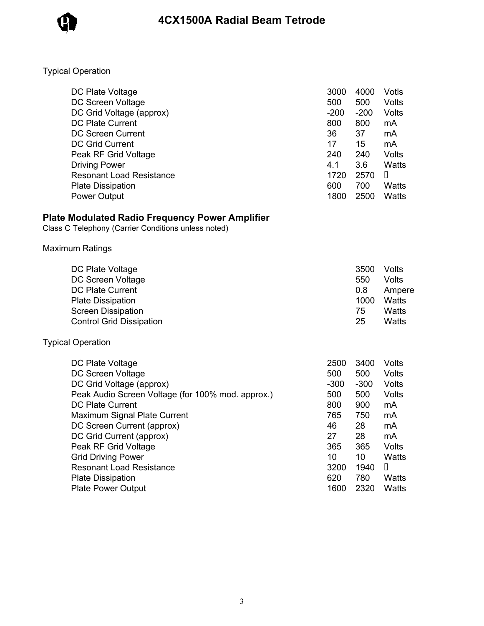

# Typical Operation

| DC Plate Voltage                | 3000   | 4000   | Votls  |
|---------------------------------|--------|--------|--------|
| DC Screen Voltage               | 500    | 500    | Volts  |
| DC Grid Voltage (approx)        | $-200$ | $-200$ | Volts  |
| <b>DC Plate Current</b>         | 800    | 800    | mA     |
| <b>DC Screen Current</b>        | 36     | 37     | mA     |
| <b>DC Grid Current</b>          | 17     | 15     | mA     |
| Peak RF Grid Voltage            | 240    | 240    | Volts  |
| <b>Driving Power</b>            | 4.1    | 3.6    | Watts  |
| <b>Resonant Load Resistance</b> | 1720   | 2570   | $\Box$ |
| <b>Plate Dissipation</b>        | 600    | 700    | Watts  |
| <b>Power Output</b>             | 1800   | 2500   | Watts  |

#### **Plate Modulated Radio Frequency Power Amplifier**

Class C Telephony (Carrier Conditions unless noted)

## Maximum Ratings

| DC Plate Voltage                | 3500 | Volts  |
|---------------------------------|------|--------|
| DC Screen Voltage               | 550  | Volts  |
| DC Plate Current                | 0.8  | Ampere |
| <b>Plate Dissipation</b>        | 1000 | Watts  |
| <b>Screen Dissipation</b>       | 75   | Watts  |
| <b>Control Grid Dissipation</b> | 25   | Watts  |

# Typical Operation

| DC Plate Voltage                                  | 2500   | 3400   | Volts |
|---------------------------------------------------|--------|--------|-------|
| DC Screen Voltage                                 | 500    | 500    | Volts |
| DC Grid Voltage (approx)                          | $-300$ | $-300$ | Volts |
| Peak Audio Screen Voltage (for 100% mod. approx.) | 500    | 500    | Volts |
| DC Plate Current                                  | 800    | 900    | mA    |
| Maximum Signal Plate Current                      | 765    | 750    | mA    |
| DC Screen Current (approx)                        | 46     | 28     | mA    |
| DC Grid Current (approx)                          | 27     | 28     | mA    |
| Peak RF Grid Voltage                              | 365    | 365    | Volts |
| <b>Grid Driving Power</b>                         | 10     | 10     | Watts |
| <b>Resonant Load Resistance</b>                   | 3200   | 1940   | П     |
| <b>Plate Dissipation</b>                          | 620    | 780    | Watts |
| <b>Plate Power Output</b>                         | 1600   | 2320   | Watts |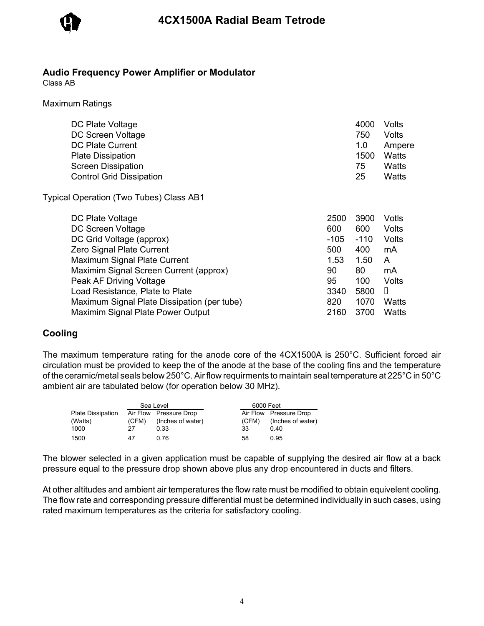

#### **Audio Frequency Power Amplifier or Modulator**

Class AB

Maximum Ratings

| DC Plate Voltage                | 4000 | Volts  |
|---------------------------------|------|--------|
| DC Screen Voltage               | 750  | Volts  |
| <b>DC Plate Current</b>         | 1.0  | Ampere |
| <b>Plate Dissipation</b>        | 1500 | Watts  |
| <b>Screen Dissipation</b>       | 75   | Watts  |
| <b>Control Grid Dissipation</b> | 25   | Watts  |
|                                 |      |        |

Typical Operation (Two Tubes) Class AB1

| DC Plate Voltage                            | 2500   | 3900   | Votls        |
|---------------------------------------------|--------|--------|--------------|
| DC Screen Voltage                           | 600    | 600    | Volts        |
| DC Grid Voltage (approx)                    | $-105$ | $-110$ | <b>Volts</b> |
| Zero Signal Plate Current                   | 500    | 400    | mA           |
| Maximum Signal Plate Current                | 1.53   | 1.50   | A            |
| Maximim Signal Screen Current (approx)      | 90     | 80     | mA           |
| Peak AF Driving Voltage                     | 95     | 100    | Volts        |
| Load Resistance, Plate to Plate             | 3340   | 5800   | D            |
| Maximum Signal Plate Dissipation (per tube) | 820    | 1070   | <b>Watts</b> |
| <b>Maximim Signal Plate Power Output</b>    | 2160   | 3700   | Watts        |

## **Cooling**

The maximum temperature rating for the anode core of the 4CX1500A is 250°C. Sufficient forced air circulation must be provided to keep the of the anode at the base of the cooling fins and the temperature of the ceramic/metal seals below 250°C. Air flow requirments to maintain seal temperature at 225°C in 50°C ambient air are tabulated below (for operation below 30 MHz).

| Sea Level         |       |                        | 6000 Feet |       |                        |
|-------------------|-------|------------------------|-----------|-------|------------------------|
| Plate Dissipation |       | Air Flow Pressure Drop |           |       | Air Flow Pressure Drop |
| (Watts)           | (CFM) | (Inches of water)      |           | (CFM) | (Inches of water)      |
| 1000              | 27    | 0.33                   | 33        |       | 0.40                   |
| 1500              | 47    | 0.76                   | 58        |       | 0.95                   |

The blower selected in a given application must be capable of supplying the desired air flow at a back pressure equal to the pressure drop shown above plus any drop encountered in ducts and filters.

At other altitudes and ambient air temperatures the flow rate must be modified to obtain equivelent cooling. The flow rate and corresponding pressure differential must be determined individually in such cases, using rated maximum temperatures as the criteria for satisfactory cooling.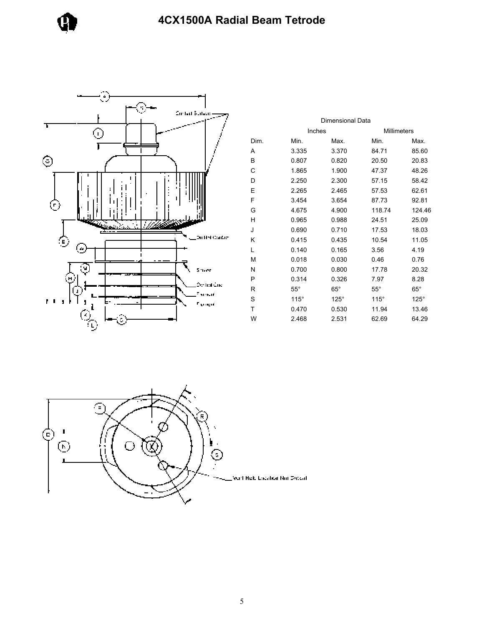



|      |              | Dimensional Data |              |             |
|------|--------------|------------------|--------------|-------------|
|      |              | Inches           | Millimeters  |             |
| Dim. | Min.         | Max.             | Min.         | Max.        |
| Α    | 3.335        | 3.370            | 84.71        | 85.60       |
| B    | 0.807        | 0.820            | 20.50        | 20.83       |
| С    | 1.865        | 1.900            | 47.37        | 48.26       |
| D    | 2.250        | 2.300            | 57.15        | 58.42       |
| Ε    | 2.265        | 2.465            | 57.53        | 62.61       |
| F    | 3.454        | 3.654            | 87.73        | 92.81       |
| G    | 4.675        | 4.900            | 118.74       | 124.46      |
| Н    | 0.965        | 0.988            | 24.51        | 25.09       |
| J    | 0.690        | 0.710            | 17.53        | 18.03       |
| Κ    | 0.415        | 0.435            | 10.54        | 11.05       |
| L    | 0.140        | 0.165            | 3.56         | 4.19        |
| м    | 0.018        | 0.030            | 0.46         | 0.76        |
| Ν    | 0.700        | 0.800            | 17.78        | 20.32       |
| Ρ    | 0.314        | 0.326            | 7.97         | 8.28        |
| R    | $55^{\circ}$ | $65^\circ$       | $55^{\circ}$ | $65^\circ$  |
| S    | $115^\circ$  | $125^\circ$      | $115^\circ$  | $125^\circ$ |
| Т    | 0.470        | 0.530            | 11.94        | 13.46       |
| W    | 2.468        | 2.531            | 62.69        | 64.29       |

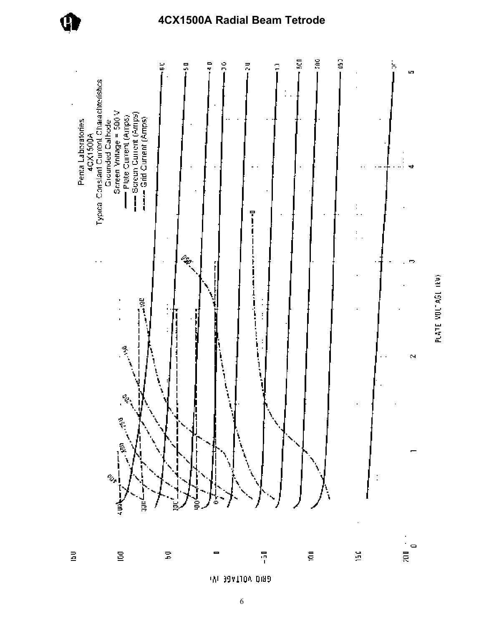

# 4CX1500A Radial Beam Tetrode